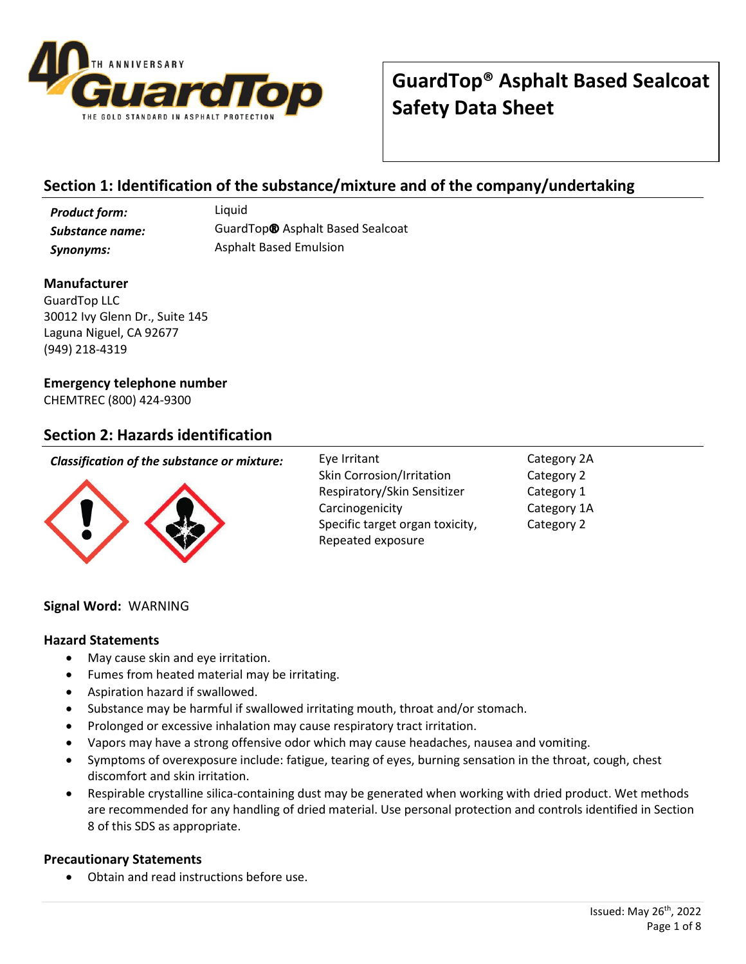

## **Section 1: Identification of the substance/mixture and of the company/undertaking**

*Product form:* Liquid

*Substance name:* GuardTop® Asphalt Based Sealcoat **Synonyms:** Asphalt Based Emulsion

### **Manufacturer**

GuardTop LLC 30012 Ivy Glenn Dr., Suite 145 Laguna Niguel, CA 92677 (949) 218-4319

### **Emergency telephone number**

CHEMTREC (800) 424-9300

### **Section 2: Hazards identification**

### *Classification of the substance or mixture:* Eye Irritant



Skin Corrosion/Irritation Respiratory/Skin Sensitizer Carcinogenicity Specific target organ toxicity, Repeated exposure

Category 2A Category 2 Category 1 Category 1A Category 2

### **Signal Word:** WARNING

### **Hazard Statements**

- May cause skin and eye irritation.
- Fumes from heated material may be irritating.
- Aspiration hazard if swallowed.
- Substance may be harmful if swallowed irritating mouth, throat and/or stomach.
- Prolonged or excessive inhalation may cause respiratory tract irritation.
- Vapors may have a strong offensive odor which may cause headaches, nausea and vomiting.
- Symptoms of overexposure include: fatigue, tearing of eyes, burning sensation in the throat, cough, chest discomfort and skin irritation.
- Respirable crystalline silica-containing dust may be generated when working with dried product. Wet methods are recommended for any handling of dried material. Use personal protection and controls identified in Section 8 of this SDS as appropriate.

### **Precautionary Statements**

• Obtain and read instructions before use.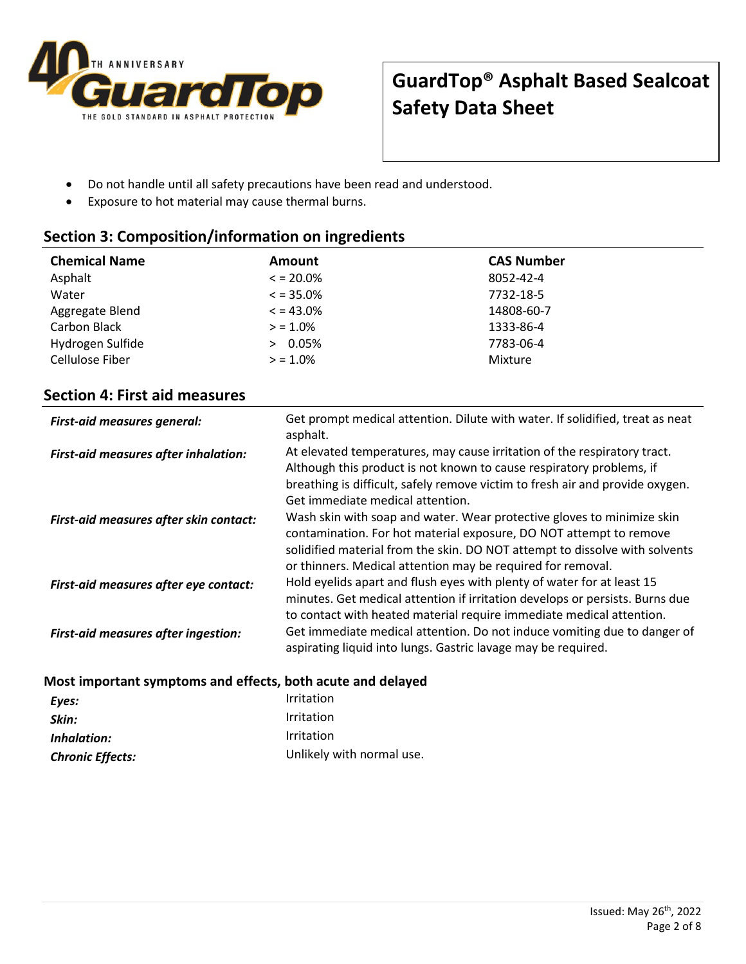

- Do not handle until all safety precautions have been read and understood.
- Exposure to hot material may cause thermal burns.

## **Section 3: Composition/information on ingredients**

| <b>Chemical Name</b> | Amount        | <b>CAS Number</b> |
|----------------------|---------------|-------------------|
| Asphalt              | $\le$ = 20.0% | 8052-42-4         |
| Water                | $\le$ = 35.0% | 7732-18-5         |
| Aggregate Blend      | $\le$ = 43.0% | 14808-60-7        |
| Carbon Black         | $> 1.0\%$     | 1333-86-4         |
| Hydrogen Sulfide     | 0.05%         | 7783-06-4         |
| Cellulose Fiber      | $> 1.0\%$     | Mixture           |

## **Section 4: First aid measures**

| <b>First-aid measures general:</b>                          | Get prompt medical attention. Dilute with water. If solidified, treat as neat<br>asphalt.                                                                                                                                                                                                  |
|-------------------------------------------------------------|--------------------------------------------------------------------------------------------------------------------------------------------------------------------------------------------------------------------------------------------------------------------------------------------|
| <b>First-aid measures after inhalation:</b>                 | At elevated temperatures, may cause irritation of the respiratory tract.<br>Although this product is not known to cause respiratory problems, if<br>breathing is difficult, safely remove victim to fresh air and provide oxygen.<br>Get immediate medical attention.                      |
| First-aid measures after skin contact:                      | Wash skin with soap and water. Wear protective gloves to minimize skin<br>contamination. For hot material exposure, DO NOT attempt to remove<br>solidified material from the skin. DO NOT attempt to dissolve with solvents<br>or thinners. Medical attention may be required for removal. |
| First-aid measures after eye contact:                       | Hold eyelids apart and flush eyes with plenty of water for at least 15<br>minutes. Get medical attention if irritation develops or persists. Burns due<br>to contact with heated material require immediate medical attention.                                                             |
| <b>First-aid measures after ingestion:</b>                  | Get immediate medical attention. Do not induce vomiting due to danger of<br>aspirating liquid into lungs. Gastric lavage may be required.                                                                                                                                                  |
| Most important symptoms and effects, both acute and delayed |                                                                                                                                                                                                                                                                                            |

| Eyes:                   | <b>Irritation</b>         |
|-------------------------|---------------------------|
| Skin:                   | Irritation                |
| Inhalation:             | Irritation                |
| <b>Chronic Effects:</b> | Unlikely with normal use. |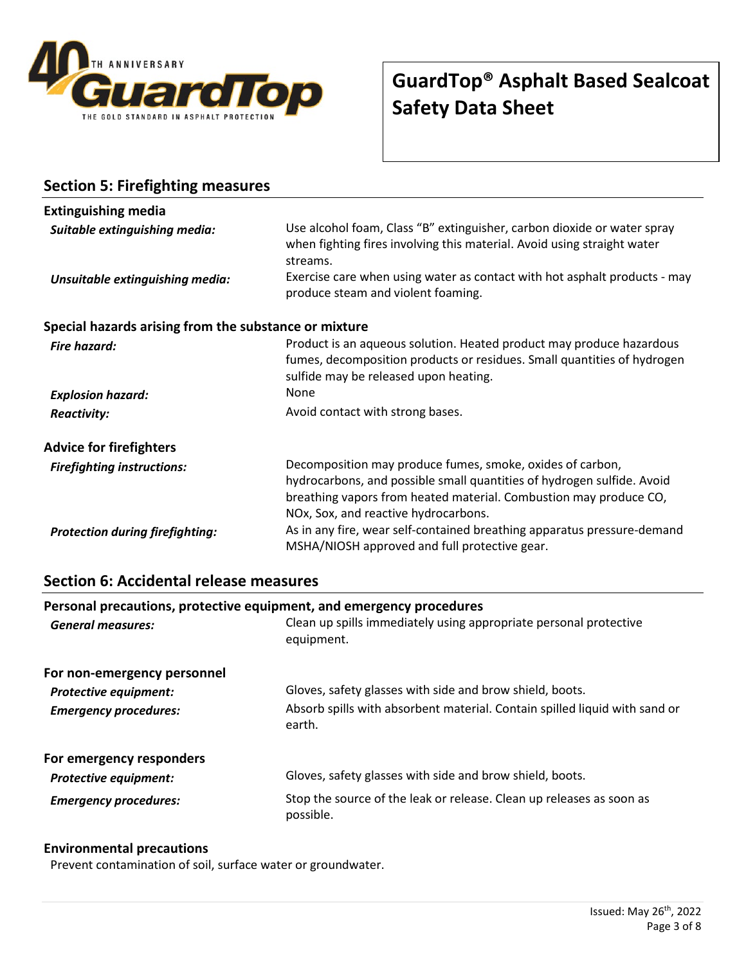

**Section 5: Firefighting measures**

# **GuardTop® Asphalt Based Sealcoat Safety Data Sheet**

| <b>Extinguishing media</b>                            |                                                                                                                                                                                                                                                  |
|-------------------------------------------------------|--------------------------------------------------------------------------------------------------------------------------------------------------------------------------------------------------------------------------------------------------|
| Suitable extinguishing media:                         | Use alcohol foam, Class "B" extinguisher, carbon dioxide or water spray<br>when fighting fires involving this material. Avoid using straight water<br>streams.                                                                                   |
| Unsuitable extinguishing media:                       | Exercise care when using water as contact with hot asphalt products - may<br>produce steam and violent foaming.                                                                                                                                  |
| Special hazards arising from the substance or mixture |                                                                                                                                                                                                                                                  |
| Fire hazard:                                          | Product is an aqueous solution. Heated product may produce hazardous<br>fumes, decomposition products or residues. Small quantities of hydrogen<br>sulfide may be released upon heating.                                                         |
| <b>Explosion hazard:</b>                              | None                                                                                                                                                                                                                                             |
| <b>Reactivity:</b>                                    | Avoid contact with strong bases.                                                                                                                                                                                                                 |
| <b>Advice for firefighters</b>                        |                                                                                                                                                                                                                                                  |
| <b>Firefighting instructions:</b>                     | Decomposition may produce fumes, smoke, oxides of carbon,<br>hydrocarbons, and possible small quantities of hydrogen sulfide. Avoid<br>breathing vapors from heated material. Combustion may produce CO,<br>NOx, Sox, and reactive hydrocarbons. |
| <b>Protection during firefighting:</b>                | As in any fire, wear self-contained breathing apparatus pressure-demand<br>MSHA/NIOSH approved and full protective gear.                                                                                                                         |

## **Section 6: Accidental release measures**

|                              | Personal precautions, protective equipment, and emergency procedures                 |  |
|------------------------------|--------------------------------------------------------------------------------------|--|
| <b>General measures:</b>     | Clean up spills immediately using appropriate personal protective<br>equipment.      |  |
| For non-emergency personnel  |                                                                                      |  |
| <b>Protective equipment:</b> | Gloves, safety glasses with side and brow shield, boots.                             |  |
| <b>Emergency procedures:</b> | Absorb spills with absorbent material. Contain spilled liquid with sand or<br>earth. |  |
| For emergency responders     |                                                                                      |  |
| <b>Protective equipment:</b> | Gloves, safety glasses with side and brow shield, boots.                             |  |
| <b>Emergency procedures:</b> | Stop the source of the leak or release. Clean up releases as soon as<br>possible.    |  |

### **Environmental precautions**

Prevent contamination of soil, surface water or groundwater.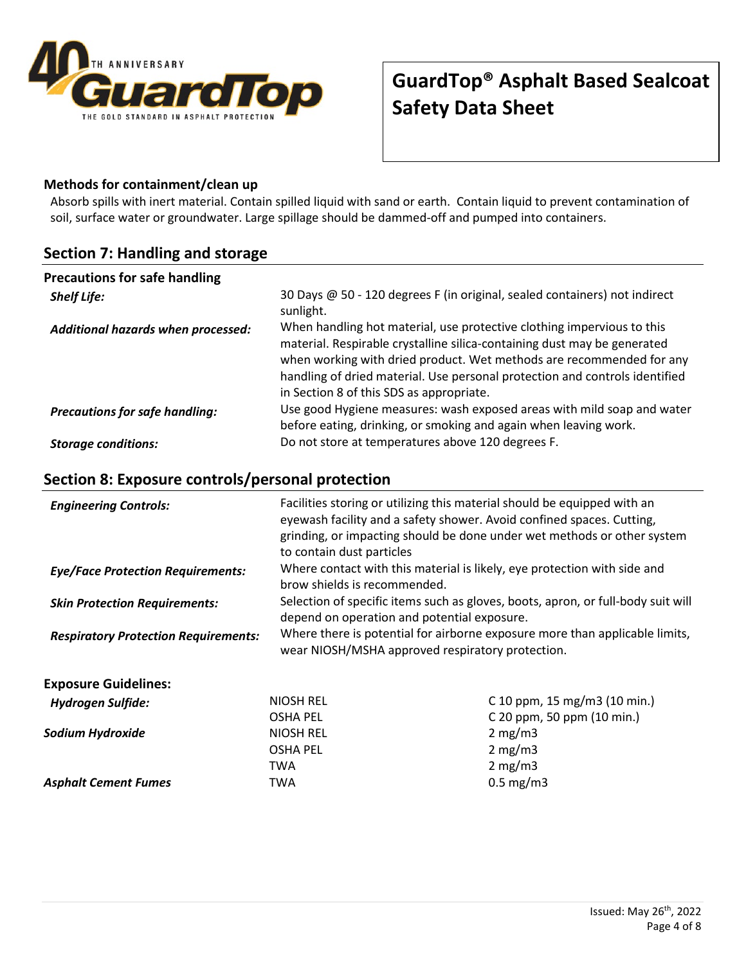

### **Methods for containment/clean up**

Absorb spills with inert material. Contain spilled liquid with sand or earth. Contain liquid to prevent contamination of soil, surface water or groundwater. Large spillage should be dammed-off and pumped into containers.

### **Section 7: Handling and storage**

| <b>Precautions for safe handling</b>  |                                                                                                                                                                                                                                                                                                                                                       |
|---------------------------------------|-------------------------------------------------------------------------------------------------------------------------------------------------------------------------------------------------------------------------------------------------------------------------------------------------------------------------------------------------------|
| <b>Shelf Life:</b>                    | 30 Days @ 50 - 120 degrees F (in original, sealed containers) not indirect<br>sunlight.                                                                                                                                                                                                                                                               |
| Additional hazards when processed:    | When handling hot material, use protective clothing impervious to this<br>material. Respirable crystalline silica-containing dust may be generated<br>when working with dried product. Wet methods are recommended for any<br>handling of dried material. Use personal protection and controls identified<br>in Section 8 of this SDS as appropriate. |
| <b>Precautions for safe handling:</b> | Use good Hygiene measures: wash exposed areas with mild soap and water<br>before eating, drinking, or smoking and again when leaving work.                                                                                                                                                                                                            |
| <b>Storage conditions:</b>            | Do not store at temperatures above 120 degrees F.                                                                                                                                                                                                                                                                                                     |

# **Section 8: Exposure controls/personal protection**

| <b>Engineering Controls:</b>                | Facilities storing or utilizing this material should be equipped with an<br>eyewash facility and a safety shower. Avoid confined spaces. Cutting,<br>to contain dust particles | grinding, or impacting should be done under wet methods or other system          |
|---------------------------------------------|--------------------------------------------------------------------------------------------------------------------------------------------------------------------------------|----------------------------------------------------------------------------------|
| <b>Eye/Face Protection Requirements:</b>    | Where contact with this material is likely, eye protection with side and<br>brow shields is recommended.                                                                       |                                                                                  |
| <b>Skin Protection Requirements:</b>        | depend on operation and potential exposure.                                                                                                                                    | Selection of specific items such as gloves, boots, apron, or full-body suit will |
| <b>Respiratory Protection Requirements:</b> | Where there is potential for airborne exposure more than applicable limits,<br>wear NIOSH/MSHA approved respiratory protection.                                                |                                                                                  |
| <b>Exposure Guidelines:</b>                 |                                                                                                                                                                                |                                                                                  |
| <b>Hydrogen Sulfide:</b>                    | <b>NIOSH REL</b>                                                                                                                                                               | C 10 ppm, 15 mg/m3 (10 min.)                                                     |
|                                             | <b>OSHA PEL</b>                                                                                                                                                                | C 20 ppm, 50 ppm (10 min.)                                                       |
| Sodium Hydroxide                            | <b>NIOSH REL</b>                                                                                                                                                               | 2 mg/m3                                                                          |
|                                             | <b>OSHA PEL</b>                                                                                                                                                                | $2 \text{ mg/m}$                                                                 |
|                                             | TWA                                                                                                                                                                            | 2 mg/m3                                                                          |
| <b>Asphalt Cement Fumes</b>                 | TWA                                                                                                                                                                            | $0.5$ mg/m3                                                                      |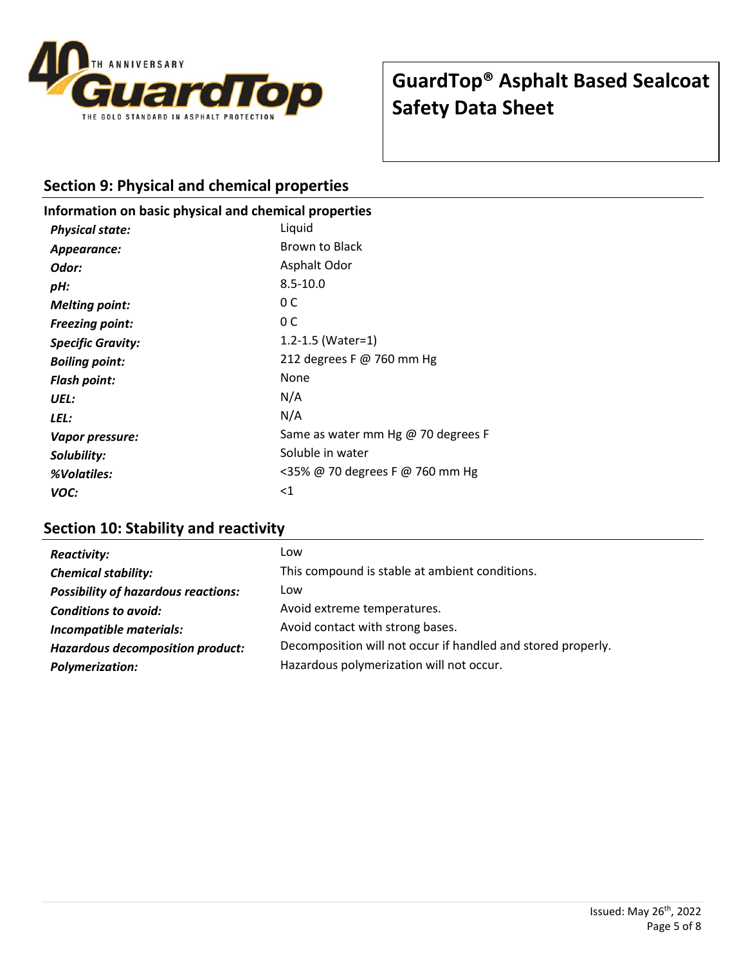

### **Section 9: Physical and chemical properties**

### **Information on basic physical and chemical properties**

| <b>Physical state:</b>   | Liquid                             |
|--------------------------|------------------------------------|
| Appearance:              | <b>Brown to Black</b>              |
| Odor:                    | Asphalt Odor                       |
| pH:                      | $8.5 - 10.0$                       |
| <b>Melting point:</b>    | 0 C                                |
| <b>Freezing point:</b>   | 0 C                                |
| <b>Specific Gravity:</b> | 1.2-1.5 (Water=1)                  |
| <b>Boiling point:</b>    | 212 degrees F @ 760 mm Hg          |
| <b>Flash point:</b>      | None                               |
| UEL:                     | N/A                                |
| LEL:                     | N/A                                |
| Vapor pressure:          | Same as water mm Hg @ 70 degrees F |
| Solubility:              | Soluble in water                   |
| %Volatiles:              | <35% @ 70 degrees F @ 760 mm Hg    |
| VOC:                     | $<$ 1                              |

## **Section 10: Stability and reactivity**

| <b>Reactivity:</b>                         | Low                                                          |
|--------------------------------------------|--------------------------------------------------------------|
| <b>Chemical stability:</b>                 | This compound is stable at ambient conditions.               |
| <b>Possibility of hazardous reactions:</b> | Low                                                          |
| <b>Conditions to avoid:</b>                | Avoid extreme temperatures.                                  |
| Incompatible materials:                    | Avoid contact with strong bases.                             |
| <b>Hazardous decomposition product:</b>    | Decomposition will not occur if handled and stored properly. |
| <b>Polymerization:</b>                     | Hazardous polymerization will not occur.                     |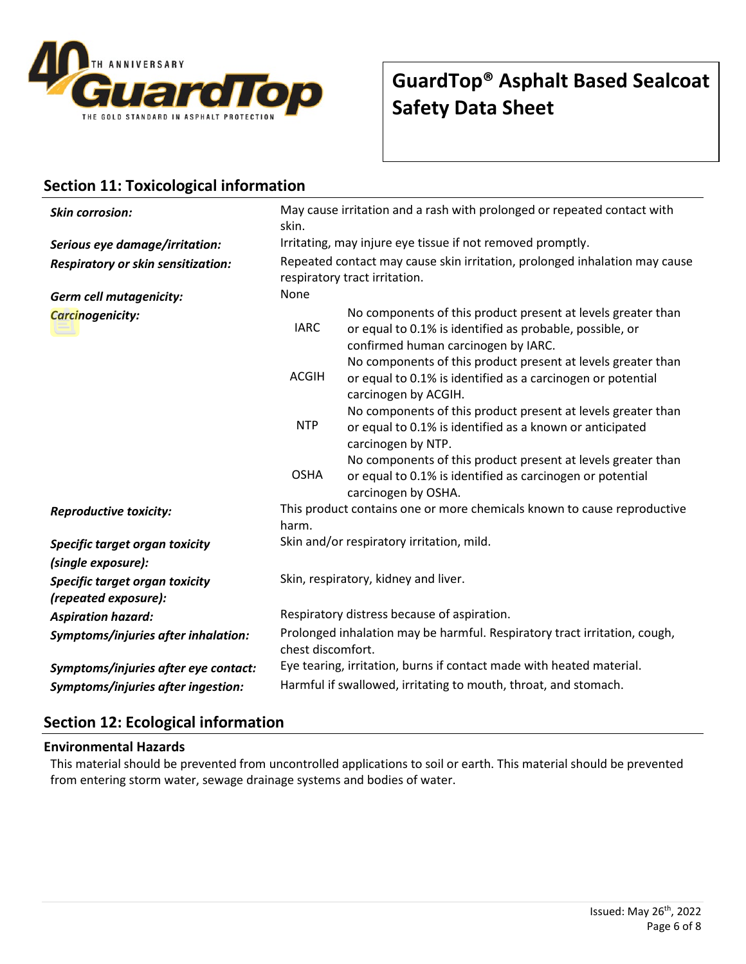

## **Section 11: Toxicological information**

| <b>Skin corrosion:</b>                                 | May cause irritation and a rash with prolonged or repeated contact with<br>skin.                            |                                                                                                                                                                 |
|--------------------------------------------------------|-------------------------------------------------------------------------------------------------------------|-----------------------------------------------------------------------------------------------------------------------------------------------------------------|
| Serious eye damage/irritation:                         | Irritating, may injure eye tissue if not removed promptly.                                                  |                                                                                                                                                                 |
| Respiratory or skin sensitization:                     | Repeated contact may cause skin irritation, prolonged inhalation may cause<br>respiratory tract irritation. |                                                                                                                                                                 |
| <b>Germ cell mutagenicity:</b>                         | None                                                                                                        |                                                                                                                                                                 |
| Carcinogenicity:                                       | <b>IARC</b>                                                                                                 | No components of this product present at levels greater than<br>or equal to 0.1% is identified as probable, possible, or<br>confirmed human carcinogen by IARC. |
|                                                        | <b>ACGIH</b>                                                                                                | No components of this product present at levels greater than<br>or equal to 0.1% is identified as a carcinogen or potential<br>carcinogen by ACGIH.             |
|                                                        | <b>NTP</b>                                                                                                  | No components of this product present at levels greater than<br>or equal to 0.1% is identified as a known or anticipated<br>carcinogen by NTP.                  |
|                                                        | <b>OSHA</b>                                                                                                 | No components of this product present at levels greater than<br>or equal to 0.1% is identified as carcinogen or potential<br>carcinogen by OSHA.                |
| <b>Reproductive toxicity:</b>                          | This product contains one or more chemicals known to cause reproductive<br>harm.                            |                                                                                                                                                                 |
| Specific target organ toxicity                         | Skin and/or respiratory irritation, mild.                                                                   |                                                                                                                                                                 |
| (single exposure):                                     |                                                                                                             |                                                                                                                                                                 |
| Specific target organ toxicity<br>(repeated exposure): | Skin, respiratory, kidney and liver.                                                                        |                                                                                                                                                                 |
| <b>Aspiration hazard:</b>                              | Respiratory distress because of aspiration.                                                                 |                                                                                                                                                                 |
| Symptoms/injuries after inhalation:                    | Prolonged inhalation may be harmful. Respiratory tract irritation, cough,<br>chest discomfort.              |                                                                                                                                                                 |
| Symptoms/injuries after eye contact:                   | Eye tearing, irritation, burns if contact made with heated material.                                        |                                                                                                                                                                 |
| Symptoms/injuries after ingestion:                     | Harmful if swallowed, irritating to mouth, throat, and stomach.                                             |                                                                                                                                                                 |

## **Section 12: Ecological information**

### **Environmental Hazards**

This material should be prevented from uncontrolled applications to soil or earth. This material should be prevented from entering storm water, sewage drainage systems and bodies of water.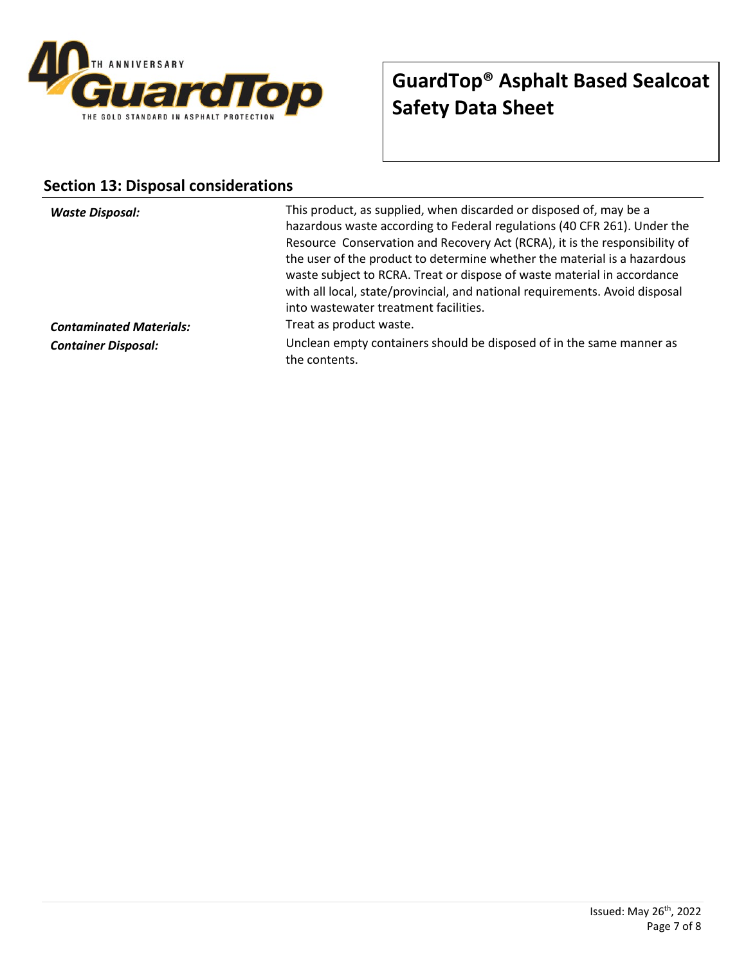

## **Section 13: Disposal considerations**

| <b>Waste Disposal:</b>         | This product, as supplied, when discarded or disposed of, may be a<br>hazardous waste according to Federal regulations (40 CFR 261). Under the<br>Resource Conservation and Recovery Act (RCRA), it is the responsibility of<br>the user of the product to determine whether the material is a hazardous<br>waste subject to RCRA. Treat or dispose of waste material in accordance<br>with all local, state/provincial, and national requirements. Avoid disposal<br>into wastewater treatment facilities. |
|--------------------------------|-------------------------------------------------------------------------------------------------------------------------------------------------------------------------------------------------------------------------------------------------------------------------------------------------------------------------------------------------------------------------------------------------------------------------------------------------------------------------------------------------------------|
| <b>Contaminated Materials:</b> | Treat as product waste.                                                                                                                                                                                                                                                                                                                                                                                                                                                                                     |
| <b>Container Disposal:</b>     | Unclean empty containers should be disposed of in the same manner as<br>the contents.                                                                                                                                                                                                                                                                                                                                                                                                                       |